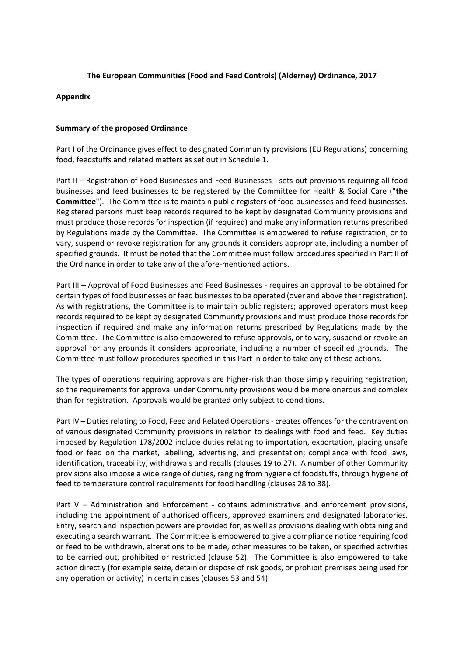## **The European Communities (Food and Feed Controls) (Alderney) Ordinance, 2017**

## **Appendix**

## **Summary of the proposed Ordinance**

Part I of the Ordinance gives effect to designated Community provisions (EU Regulations) concerning food, feedstuffs and related matters as set out in Schedule 1.

Part II – Registration of Food Businesses and Feed Businesses - sets out provisions requiring all food businesses and feed businesses to be registered by the Committee for Health & Social Care ("**the Committee**"). The Committee is to maintain public registers of food businesses and feed businesses. Registered persons must keep records required to be kept by designated Community provisions and must produce those records for inspection (if required) and make any information returns prescribed by Regulations made by the Committee. The Committee is empowered to refuse registration, or to vary, suspend or revoke registration for any grounds it considers appropriate, including a number of specified grounds. It must be noted that the Committee must follow procedures specified in Part II of the Ordinance in order to take any of the afore-mentioned actions.

Part III – Approval of Food Businesses and Feed Businesses - requires an approval to be obtained for certain types of food businesses or feed businesses to be operated (over and above their registration). As with registrations, the Committee is to maintain public registers; approved operators must keep records required to be kept by designated Community provisions and must produce those records for inspection if required and make any information returns prescribed by Regulations made by the Committee. The Committee is also empowered to refuse approvals, or to vary, suspend or revoke an approval for any grounds it considers appropriate, including a number of specified grounds. The Committee must follow procedures specified in this Part in order to take any of these actions.

The types of operations requiring approvals are higher-risk than those simply requiring registration, so the requirements for approval under Community provisions would be more onerous and complex than for registration. Approvals would be granted only subject to conditions.

Part IV – Duties relating to Food, Feed and Related Operations - creates offences for the contravention of various designated Community provisions in relation to dealings with food and feed. Key duties imposed by Regulation 178/2002 include duties relating to importation, exportation, placing unsafe food or feed on the market, labelling, advertising, and presentation; compliance with food laws, identification, traceability, withdrawals and recalls (clauses 19 to 27). A number of other Community provisions also impose a wide range of duties, ranging from hygiene of foodstuffs, through hygiene of feed to temperature control requirements for food handling (clauses 28 to 38).

Part V – Administration and Enforcement - contains administrative and enforcement provisions, including the appointment of authorised officers, approved examiners and designated laboratories. Entry, search and inspection powers are provided for, as well as provisions dealing with obtaining and executing a search warrant. The Committee is empowered to give a compliance notice requiring food or feed to be withdrawn, alterations to be made, other measures to be taken, or specified activities to be carried out, prohibited or restricted (clause 52). The Committee is also empowered to take action directly (for example seize, detain or dispose of risk goods, or prohibit premises being used for any operation or activity) in certain cases (clauses 53 and 54).